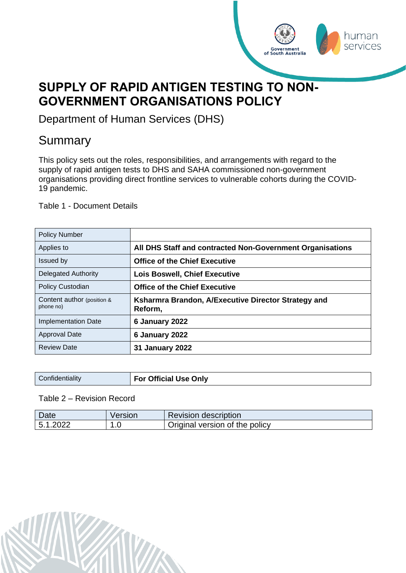<span id="page-0-0"></span>

Department of Human Services (DHS)

# Summary

This policy sets out the roles, responsibilities, and arrangements with regard to the supply of rapid antigen tests to DHS and SAHA commissioned non-government organisations providing direct frontline services to vulnerable cohorts during the COVID-19 pandemic.

human services

Government<br>of South Australia

Table 1 - Document Details

| <b>Policy Number</b>                    |                                                                |
|-----------------------------------------|----------------------------------------------------------------|
| Applies to                              | All DHS Staff and contracted Non-Government Organisations      |
| <b>Issued by</b>                        | <b>Office of the Chief Executive</b>                           |
| <b>Delegated Authority</b>              | <b>Lois Boswell, Chief Executive</b>                           |
| Policy Custodian                        | <b>Office of the Chief Executive</b>                           |
| Content author (position &<br>phone no) | Ksharmra Brandon, A/Executive Director Strategy and<br>Reform, |
| <b>Implementation Date</b>              | 6 January 2022                                                 |
| <b>Approval Date</b>                    | 6 January 2022                                                 |
| <b>Review Date</b>                      | <b>31 January 2022</b>                                         |

| Confidentiality | For Official Use Only |
|-----------------|-----------------------|
|                 |                       |

Table 2 – Revision Record

| Date               | Version   | <b>Revision description</b>    |
|--------------------|-----------|--------------------------------|
| 5 1<br>.2022<br>J. | л<br>ں. ا | Original version of the policy |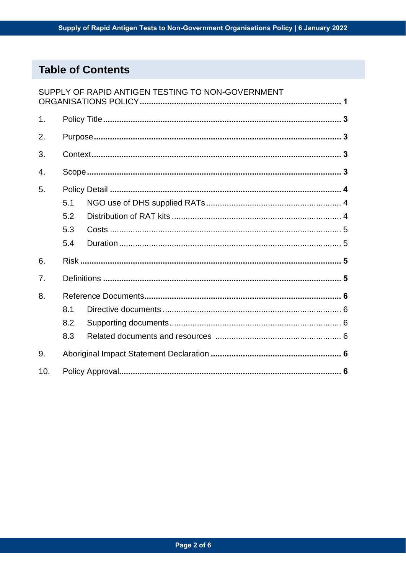# **Table of Contents**

|               |     | SUPPLY OF RAPID ANTIGEN TESTING TO NON-GOVERNMENT |  |
|---------------|-----|---------------------------------------------------|--|
| $\mathbf 1$ . |     |                                                   |  |
| 2.            |     |                                                   |  |
| 3.            |     |                                                   |  |
| 4.            |     |                                                   |  |
| 5.            |     |                                                   |  |
|               | 5.1 |                                                   |  |
|               | 5.2 |                                                   |  |
|               | 5.3 |                                                   |  |
|               | 5.4 |                                                   |  |
| 6.            |     |                                                   |  |
| 7.            |     |                                                   |  |
| 8.            |     |                                                   |  |
|               | 8.1 |                                                   |  |
|               | 8.2 |                                                   |  |
|               | 8.3 |                                                   |  |
| 9.            |     |                                                   |  |
| 10.           |     |                                                   |  |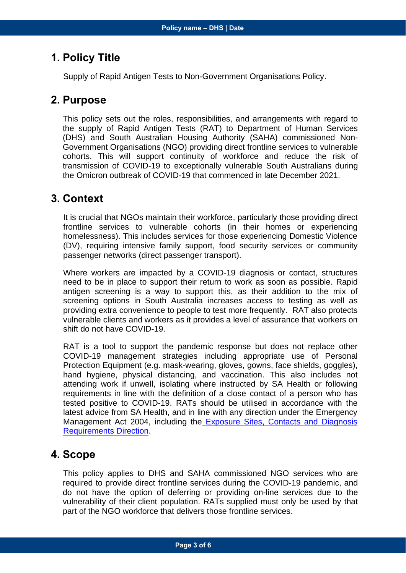### <span id="page-2-0"></span>**1. Policy Title**

Supply of Rapid Antigen Tests to Non-Government Organisations Policy.

### <span id="page-2-1"></span>**2. Purpose**

This policy sets out the roles, responsibilities, and arrangements with regard to the supply of Rapid Antigen Tests (RAT) to Department of Human Services (DHS) and South Australian Housing Authority (SAHA) commissioned Non-Government Organisations (NGO) providing direct frontline services to vulnerable cohorts. This will support continuity of workforce and reduce the risk of transmission of COVID-19 to exceptionally vulnerable South Australians during the Omicron outbreak of COVID-19 that commenced in late December 2021.

### <span id="page-2-2"></span>**3. Context**

It is crucial that NGOs maintain their workforce, particularly those providing direct frontline services to vulnerable cohorts (in their homes or experiencing homelessness). This includes services for those experiencing Domestic Violence (DV), requiring intensive family support, food security services or community passenger networks (direct passenger transport).

Where workers are impacted by a COVID-19 diagnosis or contact, structures need to be in place to support their return to work as soon as possible. Rapid antigen screening is a way to support this, as their addition to the mix of screening options in South Australia increases access to testing as well as providing extra convenience to people to test more frequently. RAT also protects vulnerable clients and workers as it provides a level of assurance that workers on shift do not have COVID-19.

RAT is a tool to support the pandemic response but does not replace other COVID-19 management strategies including appropriate use of Personal Protection Equipment (e.g. mask-wearing, gloves, gowns, face shields, goggles), hand hygiene, physical distancing, and vaccination. This also includes not attending work if unwell, isolating where instructed by SA Health or following requirements in line with the definition of a close contact of a person who has tested positive to COVID-19. RATs should be utilised in accordance with the latest advice from SA Health, and in line with any direction under the Emergency Management Act 2004, including the [Exposure Sites, Contacts and Diagnosis](https://www.covid-19.sa.gov.au/emergency-declarations/exposure-sites,-contacts-and-diagnosis-requirements)  [Requirements Direction.](https://www.covid-19.sa.gov.au/emergency-declarations/exposure-sites,-contacts-and-diagnosis-requirements)

### <span id="page-2-3"></span>**4. Scope**

This policy applies to DHS and SAHA commissioned NGO services who are required to provide direct frontline services during the COVID-19 pandemic, and do not have the option of deferring or providing on-line services due to the vulnerability of their client population. RATs supplied must only be used by that part of the NGO workforce that delivers those frontline services.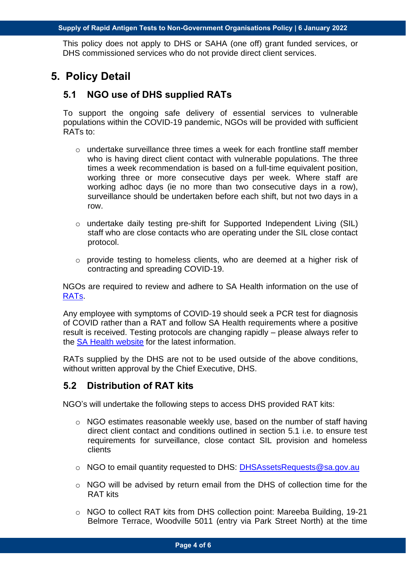This policy does not apply to DHS or SAHA (one off) grant funded services, or DHS commissioned services who do not provide direct client services.

# <span id="page-3-1"></span><span id="page-3-0"></span>**5. Policy Detail**

#### **5.1 NGO use of DHS supplied RATs**

To support the ongoing safe delivery of essential services to vulnerable populations within the COVID-19 pandemic, NGOs will be provided with sufficient RATs to:

- $\circ$  undertake surveillance three times a week for each frontline staff member who is having direct client contact with vulnerable populations. The three times a week recommendation is based on a full-time equivalent position, working three or more consecutive days per week. Where staff are working adhoc days (ie no more than two consecutive days in a row), surveillance should be undertaken before each shift, but not two days in a row.
- o undertake daily testing pre-shift for Supported Independent Living (SIL) staff who are close contacts who are operating under the SIL close contact protocol.
- o provide testing to homeless clients, who are deemed at a higher risk of contracting and spreading COVID-19.

NGOs are required to review and adhere to SA Health information on the use of [RATs.](https://www.sahealth.sa.gov.au/wps/wcm/connect/Public+Content/SA+Health+Internet/Conditions/Infectious+diseases/COVID-19/Testing+and+tracing/Rapid+antigen+testing+RAT+for+COVID-19)

Any employee with symptoms of COVID-19 should seek a PCR test for diagnosis of COVID rather than a RAT and follow SA Health requirements where a positive result is received. Testing protocols are changing rapidly – please always refer to the [SA Health website](https://www.sahealth.sa.gov.au/wps/wcm/connect/public+content/sa+health+internet/conditions/infectious+diseases/covid-19/testing+and+tracing/testing+and+tracing) for the latest information.

RATs supplied by the DHS are not to be used outside of the above conditions, without written approval by the Chief Executive, DHS.

#### <span id="page-3-2"></span>**5.2 Distribution of RAT kits**

NGO's will undertake the following steps to access DHS provided RAT kits:

- $\circ$  NGO estimates reasonable weekly use, based on the number of staff having direct client contact and conditions outlined in section 5.1 i.e. to ensure test requirements for surveillance, close contact SIL provision and homeless clients
- o NGO to email quantity requested to DHS: [DHSAssetsRequests@sa.gov.au](mailto:DHSAssetsRequests@sa.gov.au)
- o NGO will be advised by return email from the DHS of collection time for the RAT kits
- o NGO to collect RAT kits from DHS collection point: Mareeba Building, 19-21 Belmore Terrace, Woodville 5011 (entry via Park Street North) at the time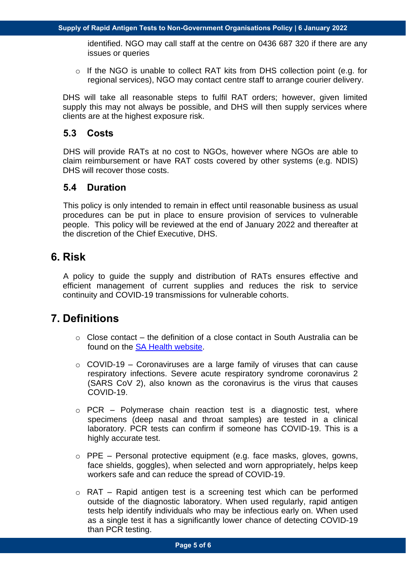identified. NGO may call staff at the centre on 0436 687 320 if there are any issues or queries

o If the NGO is unable to collect RAT kits from DHS collection point (e.g. for regional services), NGO may contact centre staff to arrange courier delivery.

DHS will take all reasonable steps to fulfil RAT orders; however, given limited supply this may not always be possible, and DHS will then supply services where clients are at the highest exposure risk.

#### <span id="page-4-0"></span>**5.3 Costs**

DHS will provide RATs at no cost to NGOs, however where NGOs are able to claim reimbursement or have RAT costs covered by other systems (e.g. NDIS) DHS will recover those costs.

#### <span id="page-4-1"></span>**5.4 Duration**

This policy is only intended to remain in effect until reasonable business as usual procedures can be put in place to ensure provision of services to vulnerable people. This policy will be reviewed at the end of January 2022 and thereafter at the discretion of the Chief Executive, DHS.

# <span id="page-4-2"></span>**6. Risk**

A policy to guide the supply and distribution of RATs ensures effective and efficient management of current supplies and reduces the risk to service continuity and COVID-19 transmissions for vulnerable cohorts.

# <span id="page-4-3"></span>**7. Definitions**

- $\circ$  Close contact the definition of a close contact in South Australia can be found on the [SA Health website.](https://www.sahealth.sa.gov.au/wps/wcm/connect/public+content/sa+health+internet/conditions/infectious+diseases/covid-19/testing+and+tracing/close+contacts)
- $\circ$  COVID-19 Coronaviruses are a large family of viruses that can cause respiratory infections. Severe acute respiratory syndrome coronavirus 2 (SARS CoV 2), also known as the coronavirus is the virus that causes COVID-19.
- $\circ$  PCR Polymerase chain reaction test is a diagnostic test, where specimens (deep nasal and throat samples) are tested in a clinical laboratory. PCR tests can confirm if someone has COVID-19. This is a highly accurate test.
- $\circ$  PPE Personal protective equipment (e.g. face masks, gloves, gowns, face shields, goggles), when selected and worn appropriately, helps keep workers safe and can reduce the spread of COVID-19.
- $\circ$  RAT Rapid antigen test is a screening test which can be performed outside of the diagnostic laboratory. When used regularly, rapid antigen tests help identify individuals who may be infectious early on. When used as a single test it has a significantly lower chance of detecting COVID-19 than PCR testing.